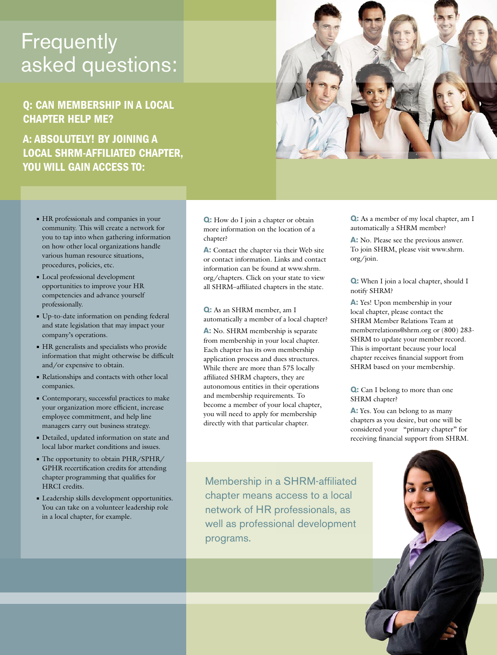## **Frequently** asked questions:

#### Q: can membership in a local chapter help me?

A: absolutely! By joining a local SHRM-affiliated chapter, you will gain access to:



- <sup>n</sup> HR professionals and companies in your community. This will create a network for you to tap into when gathering information on how other local organizations handle various human resource situations, procedures, policies, etc.
- <sup>n</sup> Local professional development opportunities to improve your HR competencies and advance yourself professionally.
- <sup>n</sup> Up-to-date information on pending federal and state legislation that may impact your company's operations.
- <sup>n</sup> HR generalists and specialists who provide information that might otherwise be difficult and/or expensive to obtain.
- <sup>n</sup> Relationships and contacts with other local companies.
- <sup>n</sup> Contemporary, successful practices to make your organization more efficient, increase employee commitment, and help line managers carry out business strategy.
- <sup>n</sup> Detailed, updated information on state and local labor market conditions and issues.
- The opportunity to obtain PHR/SPHR/ GPHR recertification credits for attending chapter programming that qualifies for HRCI credits.
- <sup>n</sup> Leadership skills development opportunities. You can take on a volunteer leadership role in a local chapter, for example.

**Q:** How do I join a chapter or obtain more information on the location of a chapter?

**A:** Contact the chapter via their Web site or contact information. Links and contact information can be found at www.shrm. org/chapters. Click on your state to view all SHRM–affiliated chapters in the state.

**Q:** As an SHRM member, am I automatically a member of a local chapter?

**A:** No. SHRM membership is separate from membership in your local chapter. Each chapter has its own membership application process and dues structures. While there are more than 575 locally affiliated SHRM chapters, they are autonomous entities in their operations and membership requirements. To become a member of your local chapter, you will need to apply for membership directly with that particular chapter.

**Q:** As a member of my local chapter, am I automatically a SHRM member?

**A:** No. Please see the previous answer. To join SHRM, please visit www.shrm. org/join.

**Q:** When I join a local chapter, should I notify SHRM?

**A:** Yes! Upon membership in your local chapter, please contact the SHRM Member Relations Team at memberrelations@shrm.org or (800) 283- SHRM to update your member record. This is important because your local chapter receives financial support from SHRM based on your membership.

**Q:** Can I belong to more than one SHRM chapter?

**A:** Yes. You can belong to as many chapters as you desire, but one will be considered your "primary chapter" for receiving financial support from SHRM.

Membership in a SHRM-affiliated chapter means access to a local network of HR professionals, as well as professional development programs.